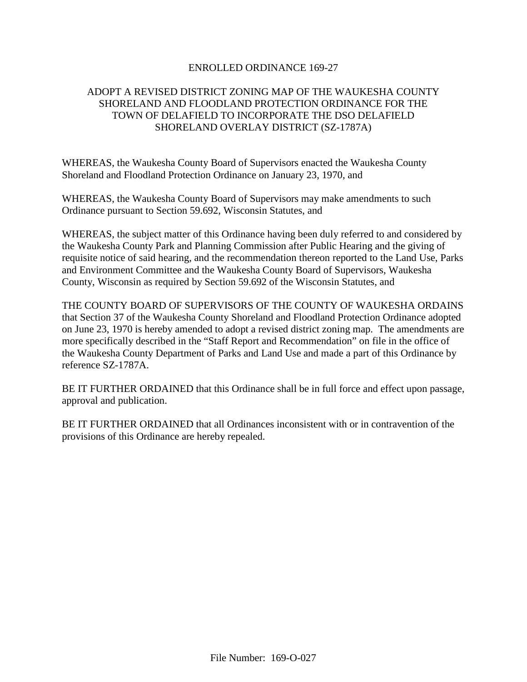## ENROLLED ORDINANCE 169-27

## ADOPT A REVISED DISTRICT ZONING MAP OF THE WAUKESHA COUNTY SHORELAND AND FLOODLAND PROTECTION ORDINANCE FOR THE TOWN OF DELAFIELD TO INCORPORATE THE DSO DELAFIELD SHORELAND OVERLAY DISTRICT (SZ-1787A)

WHEREAS, the Waukesha County Board of Supervisors enacted the Waukesha County Shoreland and Floodland Protection Ordinance on January 23, 1970, and

WHEREAS, the Waukesha County Board of Supervisors may make amendments to such Ordinance pursuant to Section 59.692, Wisconsin Statutes, and

WHEREAS, the subject matter of this Ordinance having been duly referred to and considered by the Waukesha County Park and Planning Commission after Public Hearing and the giving of requisite notice of said hearing, and the recommendation thereon reported to the Land Use, Parks and Environment Committee and the Waukesha County Board of Supervisors, Waukesha County, Wisconsin as required by Section 59.692 of the Wisconsin Statutes, and

THE COUNTY BOARD OF SUPERVISORS OF THE COUNTY OF WAUKESHA ORDAINS that Section 37 of the Waukesha County Shoreland and Floodland Protection Ordinance adopted on June 23, 1970 is hereby amended to adopt a revised district zoning map. The amendments are more specifically described in the "Staff Report and Recommendation" on file in the office of the Waukesha County Department of Parks and Land Use and made a part of this Ordinance by reference SZ-1787A.

BE IT FURTHER ORDAINED that this Ordinance shall be in full force and effect upon passage, approval and publication.

BE IT FURTHER ORDAINED that all Ordinances inconsistent with or in contravention of the provisions of this Ordinance are hereby repealed.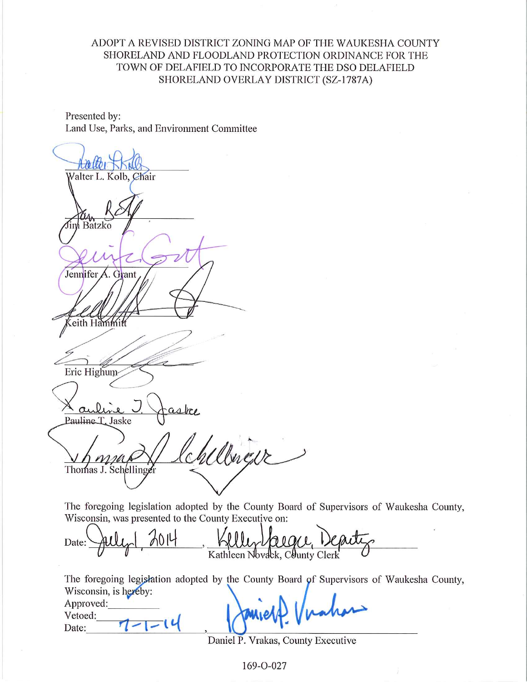ADOPT A REVISED DISTRICT ZONING MAP OF THE WAUKESHA COUNTY SHORELAND AND FLOODLAND PROTECTION ORDINANCE FOR THE TOWN OF DELAFIELD TO INCORPORATE THE DSO DELAFIELD SHORELAND OVERLAY DISTRICT (SZ-1787A)

Presented by: Land Use, Parks, and Environment Committee

 $A$ Valter L. Kolb, Chair  $\alpha$ <br>im Batzko Jennifer A. Grant eith Hammitt Eric Highum aubi Pauline T. Jaske Weres Thomas J. Schellinger

The foregoing legislation adopted by the County Board of Supervisors of Waukesha County, Wisconsin, was presented to the County Executive on:

Date: Kathleen Novack, County Clerk

The foregoing legislation adopted by the County Board of Supervisors of Waukesha County, Wisconsin, is hereby:

Approved: Vetoed:  $\overline{\phantom{a}}$ Date:

Daniel P. Vrakas, County Executive

169-0-027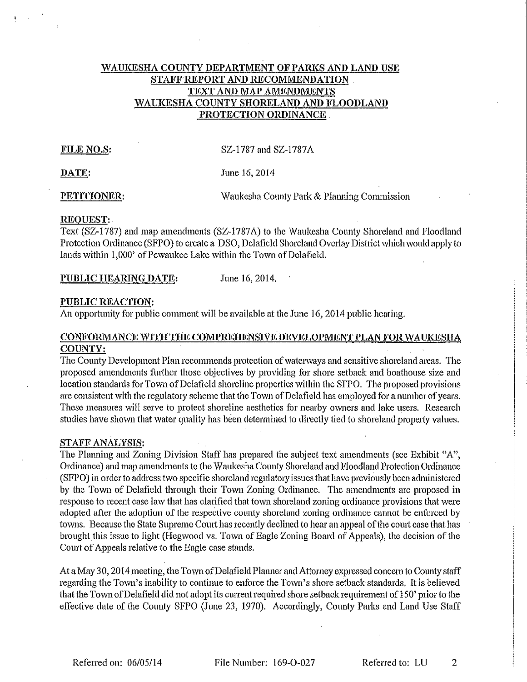## WAUKESHA COUNTY DEPARTMENT OF PARKS AND LAND USE STAFF REPORT AND RECOMMENDATION TEXT AND MAP AMENDMENTS WAUKESHA COUNTY SHORELAND AND FLOODLAND PROTECTION ORDINANCE

## FILE NO.S:

SZ-1787 and SZ-1787A

DATE:

June 16, 2014

PETITIONER:

Waukesha County Park & Planning Commission

### REQUEST:

Text (SZ-1787) and map amendments (SZ-1787A) to the Waukesha County Shoreland and Floodland Protection Ordinance (SFPO) to create a DSO, Delafield Shoreland Overlay District which would apply to lands within 1,000' of Pewaukee Lake within the Town of Delafield.

June 16, 2014. PUBLIC HEARING DATE:

## **PUBLIC REACTION:**

An opportunity for public comment will be available at the June 16, 2014 public hearing.

## CONFORMANCE WITH THE COMPREHENSIVE DEVELOPMENT PLAN FOR WAUKESHA COUNTY:

The County Development Plan recommends protection of waterways and sensitive shoreland areas. The proposed amendments further those objectives by providing for shore setback and boathouse size and location standards for Town of Delafield shoreline properties within the SFPO. The proposed provisions are consistent with the regulatory scheme that the Town of Delafield has employed for a number of years. These measures will serve to protect shoreline aesthetics for nearby owners and lake users. Research studies have shown that water quality has been determined to directly tied to shoreland property values.

## **STAFF ANALYSIS:**

The Planning and Zoning Division Staff has prepared the subject text amendments (see Exhibit "A", Ordinance) and map amendments to the Waukesha County Shoreland and Floodland Protection Ordinance (SFPO) in order to address two specific shoreland regulatory issues that have previously been administered by the Town of Delafield through their Town Zoning Ordinance. The amendments are proposed in response to recent case law that has clarified that town shoreland zoning ordinance provisions that were adopted after the adoption of the respective county shoreland zoning ordinance cannot be enforced by towns. Because the State Supreme Court has recently declined to hear an appeal of the court case that has brought this issue to light (Hegwood vs. Town of Eagle Zoning Board of Appeals), the decision of the Court of Appeals relative to the Eagle case stands.

At a May 30, 2014 meeting, the Town of Delafield Planner and Attorney expressed concern to County staff regarding the Town's inability to continue to enforce the Town's shore setback standards. It is believed that the Town of Delafield did not adopt its current required shore setback requirement of 150' prior to the effective date of the County SFPO (June 23, 1970). Accordingly, County Parks and Land Use Staff

File Number: 169-O-027

Referred to: LU  $\overline{2}$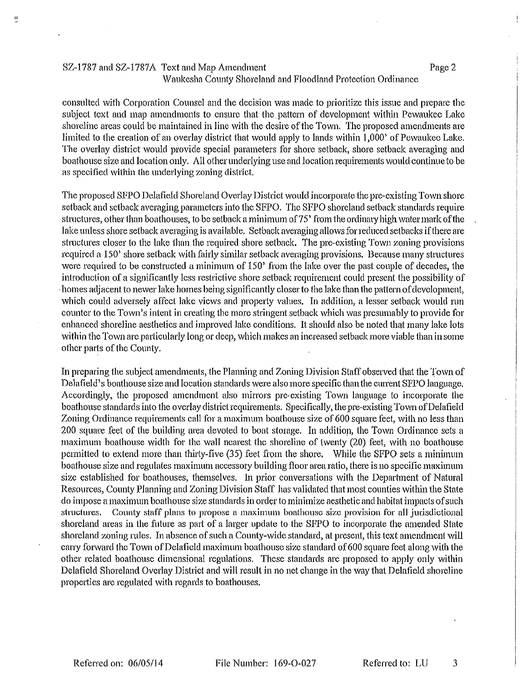## SZ-1787 and SZ-1787A Text and Map Amendment Waukesha County Shoreland and Floodland Protection Ordinance

consulted with Corporation Counsel and the decision was made to prioritize this issue and prepare the subject text and map amendments to ensure that the pattern of development within Pewaukee Lake shoreline areas could be maintained in line with the desire of the Town. The proposed amendments are limited to the creation of an overlay district that would apply to lands within 1,000' of Pewaukee Lake. The overlay district would provide special parameters for shore setback, shore setback averaging and boathouse size and location only. All other underlying use and location requirements would continue to be as specified within the underlying zoning district.

The proposed SFPO Delafield Shoreland Overlay District would incorporate the pre-existing Town shore setback and setback averaging parameters into the SFPO. The SFPO shoreland setback standards require structures, other than boathouses, to be setback a minimum of 75' from the ordinary high water mark of the lake unless shore setback averaging is available. Setback averaging allows for reduced setbacks if there are structures closer to the lake than the required shore setback. The pre-existing Town zoning provisions required a 150' shore setback with fairly similar setback averaging provisions. Because many structures were required to be constructed a minimum of 150' from the lake over the past couple of decades, the introduction of a significantly less restrictive shore setback requirement could present the possibility of homes adjacent to newer lake homes being significantly closer to the lake than the pattern of development, which could adversely affect lake views and property values. In addition, a lesser setback would run counter to the Town's intent in creating the more stringent setback which was presumably to provide for enhanced shoreline aesthetics and improved lake conditions. It should also be noted that many lake lots within the Town are particularly long or deep, which makes an increased setback more viable than in some other parts of the County.

In preparing the subject amendments, the Planning and Zoning Division Staff observed that the Town of Delafield's boathouse size and location standards were also more specific than the current SFPO language. Accordingly, the proposed amendment also mirrors pre-existing Town language to incorporate the boathouse standards into the overlay district requirements. Specifically, the pre-existing Town of Delafield Zoning Ordinance requirements call for a maximum boathouse size of 600 square feet, with no less than 200 square feet of the building area devoted to boat storage. In addition, the Town Ordinance sets a maximum boathouse width for the wall nearest the shoreline of twenty (20) feet, with no boathouse permitted to extend more than thirty-five (35) feet from the shore. While the SFPO sets a minimum boathouse size and regulates maximum accessory building floor area ratio, there is no specific maximum size established for boathouses, themselves. In prior conversations with the Department of Natural Resources, County Planning and Zoning Division Staff has validated that most counties within the State do impose a maximum boathouse size standards in order to minimize aesthetic and habitat impacts of such structures. County staff plans to propose a maximum boathouse size provision for all jurisdictional shoreland areas in the future as part of a larger update to the SFPO to incorporate the amended State shoreland zoning rules. In absence of such a County-wide standard, at present, this text amendment will carry forward the Town of Delafield maximum boathouse size standard of 600 square feet along with the other related boathouse dimensional regulations. These standards are proposed to apply only within Delafield Shoreland Overlay District and will result in no net change in the way that Delafield shoreline properties are regulated with regards to boathouses.

Page 2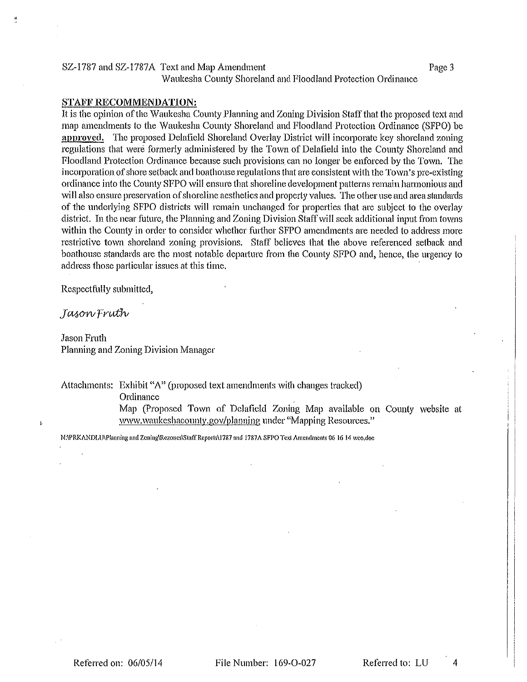#### SZ-1787 and SZ-1787A Text and Map Amendment Page 3 Waukesha County Shoreland and Floodland Protection Ordinance

#### **STAFF RECOMMENDATION:**

It is the opinion of the Waukesha County Planning and Zoning Division Staff that the proposed text and map amendments to the Waukesha County Shoreland and Floodland Protection Ordinance (SFPO) be approved. The proposed Delafield Shoreland Overlay District will incorporate key shoreland zoning regulations that were formerly administered by the Town of Delafield into the County Shoreland and Floodland Protection Ordinance because such provisions can no longer be enforced by the Town. The incorporation of shore setback and boathouse regulations that are consistent with the Town's pre-existing ordinance into the County SFPO will ensure that shoreline development patterns remain harmonious and will also ensure preservation of shoreline aesthetics and property values. The other use and area standards of the underlying SFPO districts will remain unchanged for properties that are subject to the overlay district. In the near future, the Planning and Zoning Division Staff will seek additional input from towns within the County in order to consider whether further SFPO amendments are needed to address more restrictive town shoreland zoning provisions. Staff believes that the above referenced setback and boathouse standards are the most notable departure from the County SFPO and, hence, the urgency to address those particular issues at this time.

Respectfully submitted,

Jason Fruth

**Jason Fruth** Planning and Zoning Division Manager

Attachments: Exhibit "A" (proposed text amendments with changes tracked)

Ordinance

Map (Proposed Town of Delafield Zoning Map available on County website at www.waukeshacounty.gov/planning under "Mapping Resources."

N:\PRKANDLU\Planning and Zoning\Rezones\Staff Reports\1787 and 1787A SFPO Text Amendments 06 16 14 wco,doc

Referred to: LU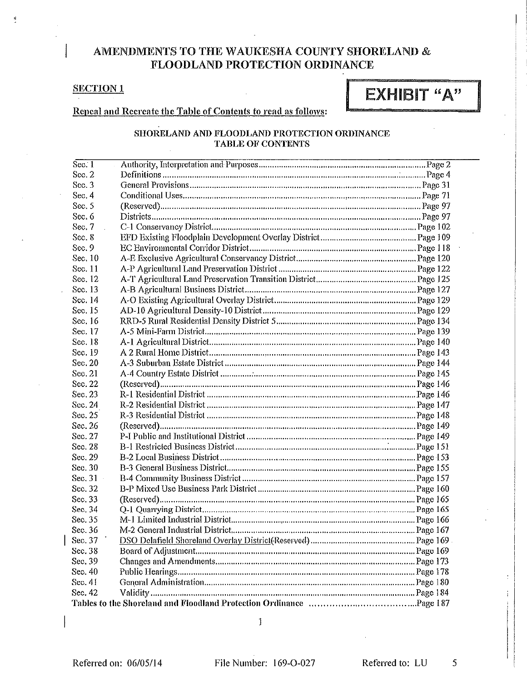## AMENDMENTS TO THE WAUKESHA COUNTY SHORELAND & FLOODLAND PROTECTION ORDINANCE

## **SECTION1**

Ĥ,

# EXHIBIT "A"

Repeal and Recreate the Table of Contents to read as follows:

## SHORELAND AND FLOODLAND PROTECTION ORDINANCE **TABLE OF CONTENTS**

| Sec.1     |  |
|-----------|--|
| Sec. 2    |  |
| Sec. 3    |  |
| Sec. 4    |  |
| Sec. 5    |  |
| Sec. 6    |  |
| Sec. 7    |  |
| Sec. 8    |  |
| Sec. 9    |  |
| Sec. 10   |  |
| Sec. 11   |  |
| Sec. 12   |  |
| Sec. 13   |  |
| Sec. 14   |  |
| Sec 15    |  |
| Sec. 16   |  |
| Sec. 17   |  |
| Sec. 18   |  |
| Sec. 19   |  |
| Sec. 20   |  |
| Sec. 21   |  |
| Sec. 22   |  |
| Sec. 23   |  |
| Sec. 24   |  |
| Sec. 25   |  |
| Sec. 26   |  |
| Sec. 27   |  |
| Sec. 28   |  |
| Sec. 29   |  |
| Sec. $30$ |  |
| Sec. 31   |  |
| Sec. 32   |  |
| Sec. 33   |  |
| Sec. 34   |  |
| Sec. 35   |  |
| Sec. 36   |  |
| Sec. 37   |  |
| Sec. 38   |  |
| Sec. 39   |  |
| Sec. 40   |  |
| Sec. 41   |  |
| Sec. 42   |  |
|           |  |

 $\mathbf{1}$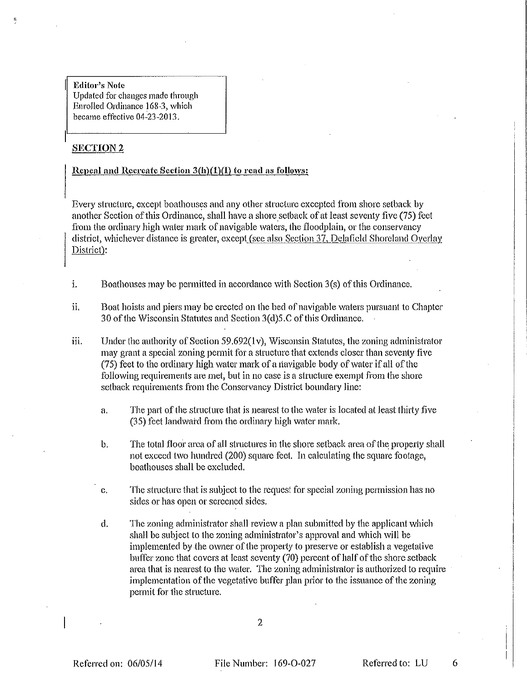Editor's Note Updated for changes made through Enrolled Ordinance 168-3, which became effective 04-23-2013.

## **SECTION 2**

## Repeal and Recreate Section 3(h)(1)(I) to read as follows:

Every structure, except boathouses and any other structure excepted from shore setback by another Section of this Ordinance, shall have a shore setback of at least seventy five (75) feet from the ordinary high water mark of navigable waters, the floodplain, or the conservancy district, whichever distance is greater, except (see also Section 37, Delafield Shoreland Overlay District):

- $\mathbf{i}$ . Boathouses may be permitted in accordance with Section 3(s) of this Ordinance.
- ii. Boat hoists and piers may be erected on the bed of navigable waters pursuant to Chapter 30 of the Wisconsin Statutes and Section 3(d) 5, C of this Ordinance.
- iii. Under the authority of Section 59.692(1v), Wisconsin Statutes, the zoning administrator may grant a special zoning permit for a structure that extends closer than seventy five (75) feet to the ordinary high water mark of a navigable body of water if all of the following requirements are met, but in no case is a structure exempt from the shore setback requirements from the Conservancy District boundary line:
	- The part of the structure that is nearest to the water is located at least thirty five  $\mathbf{a}$ . (35) feet landward from the ordinary high water mark.
	- The total floor area of all structures in the shore setback area of the property shall  $\mathbf b$ . not exceed two hundred (200) square feet. In calculating the square footage, boathouses shall be excluded.
	- The structure that is subject to the request for special zoning permission has no c. sides or has open or screened sides.
	- The zoning administrator shall review a plan submitted by the applicant which d. shall be subject to the zoning administrator's approval and which will be implemented by the owner of the property to preserve or establish a vegetative buffer zone that covers at least seventy (70) percent of half of the shore setback area that is nearest to the water. The zoning administrator is authorized to require implementation of the vegetative buffer plan prior to the issuance of the zoning permit for the structure.

Referred on: 06/05/14

File Number: 169-O-027

Referred to: LU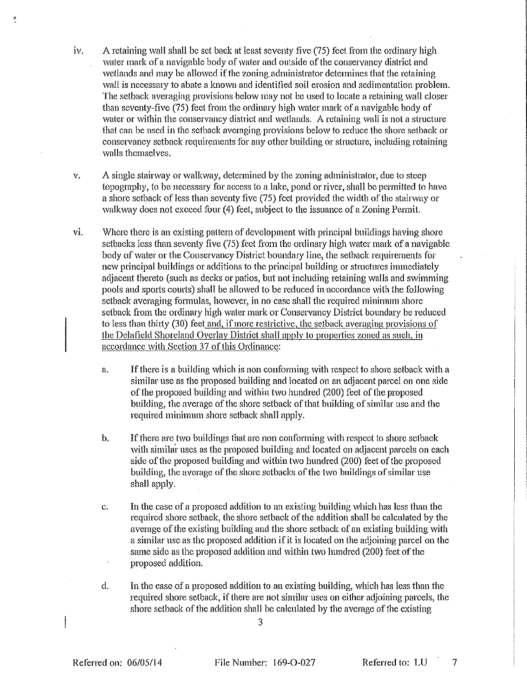- A retaining wall shall be set back at least seventy five (75) feet from the ordinary high iv. water mark of a navigable body of water and outside of the conservancy district and wetlands and may be allowed if the zoning administrator determines that the retaining wall is necessary to abate a known and identified soil erosion and sedimentation problem. The setback averaging provisions below may not be used to locate a retaining wall closer than seventy-five (75) feet from the ordinary high water mark of a navigable body of water or within the conservancy district and wetlands. A retaining wall is not a structure that can be used in the setback averaging provisions below to reduce the shore setback or conservancy setback requirements for any other building or structure, including retaining walls themselves.
- A single stairway or walkway, determined by the zoning administrator, due to steep  $\mathbf{v}$ . topography, to be necessary for access to a lake, pond or river, shall be permitted to have a shore setback of less than seventy five (75) feet provided the width of the stairway or walkway does not exceed four (4) feet, subject to the issuance of a Zoning Permit.
- Where there is an existing pattern of development with principal buildings having shore vi. setbacks less than seventy five (75) feet from the ordinary high water mark of a navigable body of water or the Conservancy District boundary line, the setback requirements for new principal buildings or additions to the principal building or structures immediately adjacent thereto (such as decks or patios, but not including retaining walls and swimming pools and sports courts) shall be allowed to be reduced in accordance with the following setback averaging formulas, however, in no case shall the required minimum shore setback from the ordinary high water mark or Conservancy District boundary be reduced to less than thirty (30) feet and, if more restrictive, the setback averaging provisions of the Delafield Shoreland Overlay District shall apply to properties zoned as such, in accordance with Section 37 of this Ordinance:
	- If there is a building which is non conforming with respect to shore setback with a a, similar use as the proposed building and located on an adjacent parcel on one side of the proposed building and within two hundred (200) feet of the proposed building, the average of the shore setback of that building of similar use and the required minimum shore setback shall apply.
	- If there are two buildings that are non conforming with respect to shore setback  $\mathbf b$ . with similar uses as the proposed building and located on adjacent parcels on each side of the proposed building and within two hundred (200) feet of the proposed building, the average of the shore setbacks of the two buildings of similar use shall apply.
	- In the case of a proposed addition to an existing building which has less than the  $\mathbf{c}$ . required shore setback, the shore setback of the addition shall be calculated by the average of the existing building and the shore setback of an existing building with a similar use as the proposed addition if it is located on the adjoining parcel on the same side as the proposed addition and within two hundred (200) feet of the proposed addition.
	- d. In the case of a proposed addition to an existing building, which has less than the required shore setback, if there are not similar uses on either adjoining parcels, the shore setback of the addition shall be calculated by the average of the existing

3

Referred on: 06/05/14

File Number: 169-O-027

Referred to: LU

 $\overline{7}$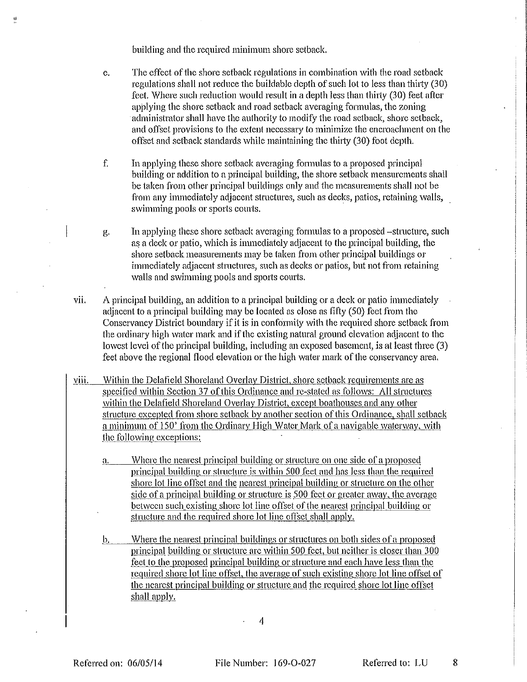building and the required minimum shore setback.

뗖

- The effect of the shore setback regulations in combination with the road setback e. regulations shall not reduce the buildable depth of such lot to less than thirty (30) feet. Where such reduction would result in a depth less than thirty (30) feet after applying the shore setback and road setback averaging formulas, the zoning administrator shall have the authority to modify the road setback, shore setback, and offset provisions to the extent necessary to minimize the encroachment on the offset and setback standards while maintaining the thirty (30) foot depth.
- f. In applying these shore setback averaging formulas to a proposed principal building or addition to a principal building, the shore setback measurements shall be taken from other principal buildings only and the measurements shall not be from any immediately adjacent structures, such as decks, patios, retaining walls, swimming pools or sports courts.
- In applying these shore setback averaging formulas to a proposed –structure, such д. as a deck or patio, which is immediately adiacent to the principal building, the shore setback measurements may be taken from other principal buildings or immediately adjacent structures, such as decks or patios, but not from retaining walls and swimming pools and sports courts.
- vii. A principal building, an addition to a principal building or a deck or patio immediately adjacent to a principal building may be located as close as fifty (50) feet from the Conservancy District boundary if it is in conformity with the required shore setback from the ordinary high water mark and if the existing natural ground elevation adjacent to the lowest level of the principal building, including an exposed basement, is at least three (3) feet above the regional flood elevation or the high water mark of the conservancy area.
- Within the Delafield Shoreland Overlay District, shore setback requirements are as viii. specified within Section 37 of this Ordinance and re-stated as follows: All structures within the Delafield Shoreland Overlay District, except boathouses and any other structure excepted from shore setback by another section of this Ordinance, shall setback a minimum of 150' from the Ordinary High Water Mark of a navigable waterway, with the following exceptions:
	- Where the nearest principal building or structure on one side of a proposed a. principal building or structure is within 500 feet and has less than the required shore lot line offset and the nearest principal building or structure on the other side of a principal building or structure is 500 feet or greater away, the average between such existing shore lot line offset of the nearest principal building or structure and the required shore lot line offset shall apply.
	- Where the nearest principal buildings or structures on both sides of a proposed b. principal building or structure are within 500 feet, but neither is closer than 300 fect to the proposed principal building or structure and each have less than the required shore lot line offset, the average of such existing shore lot line offset of the nearest principal building or structure and the required shore lot line offset shall apply.

 $\overline{4}$ 

Referred to: LU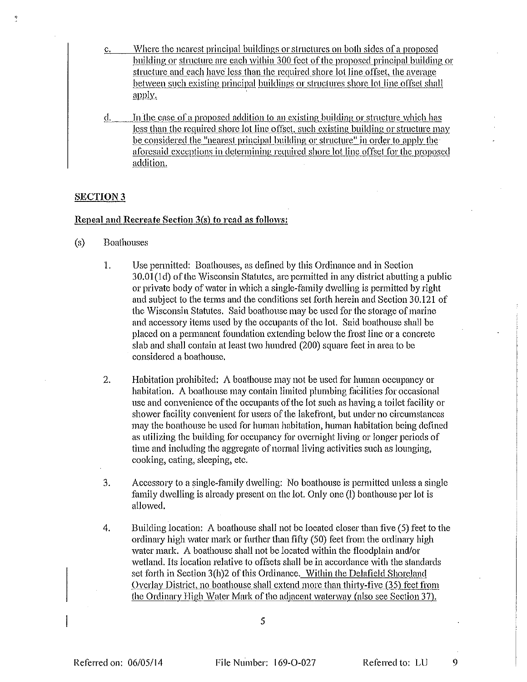- Where the nearest principal buildings or structures on both sides of a proposed c. building or structure are each within 300 feet of the proposed principal building or structure and each have less than the required shore lot line offset, the average between such existing principal buildings or structures shore lot line offset shall  $a$ <sub>y</sub> $y$ .
- In the case of a proposed addition to an existing building or structure which has đ. less than the required shore lot line offset, such existing building or structure may be considered the "nearest principal building or structure" in order to apply the aforesaid exceptions in determining required shore lot line offset for the proposed addition.

### **SECTION 3**

## Repeal and Recreate Section 3(s) to read as follows:

- $(s)$ **Boathouses** 
	- 1. Use permitted: Boathouses, as defined by this Ordinance and in Section 30.01(1d) of the Wisconsin Statutes, are permitted in any district abutting a public or private body of water in which a single-family dwelling is permitted by right and subject to the terms and the conditions set forth herein and Section 30.121 of the Wisconsin Statutes. Said boathouse may be used for the storage of marine and accessory items used by the occupants of the lot. Said boathouse shall be placed on a permanent foundation extending below the frost line or a concrete slab and shall contain at least two hundred (200) square feet in area to be considered a boathouse.
	- Habitation prohibited:  $\Lambda$  boathouse may not be used for human occupancy or  $2.$ habitation. A boathouse may contain limited plumbing facilities for occasional use and convenience of the occupants of the lot such as having a toilet facility or shower facility convenient for users of the lakefront, but under no circumstances may the boathouse be used for human habitation, human habitation being defined as utilizing the building for occupancy for overnight living or longer periods of time and including the aggregate of normal living activities such as lounging, cooking, eating, sleeping, etc.
	- 3. Accessory to a single-family dwelling: No boathouse is permitted unless a single family dwelling is already present on the lot. Only one (1) boathouse per lot is allowed.
	- 4. Building location: A boathouse shall not be located closer than five (5) feet to the ordinary high water mark or further than fifty (50) feet from the ordinary high water mark. A boathouse shall not be located within the floodplain and/or wetland. Its location relative to offsets shall be in accordance with the standards set forth in Section 3(h)2 of this Ordinance. Within the Delafield Shoreland Overlay District, no boathouse shall extend more than thirty-five (35) feet from the Ordinary High Water Mark of the adjacent waterway (also see Section 37).

5

Referred to: LU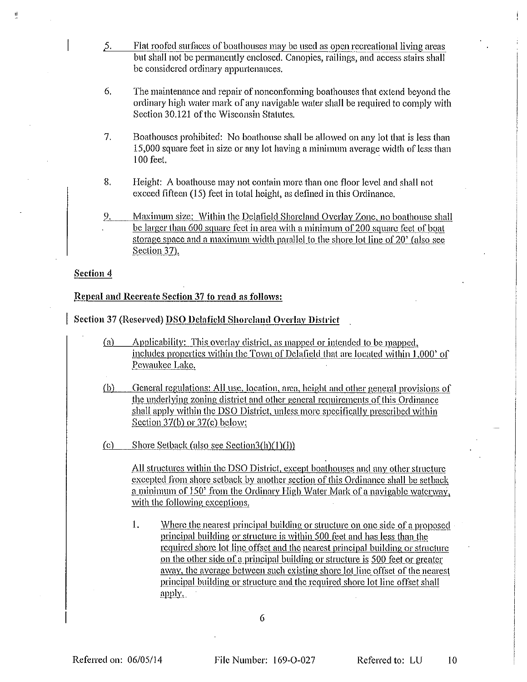- $5.$ Flat roofed surfaces of boathouses may be used as open recreational living areas but shall not be permanently enclosed. Canopies, railings, and access stairs shall be considered ordinary appurtenances.
- 6. The maintenance and repair of nonconforming boathouses that extend beyond the ordinary high water mark of any navigable water shall be required to comply with Section 30.121 of the Wisconsin Statutes.
- $7.$ Boathouses prohibited: No boathouse shall be allowed on any lot that is less than 15,000 square feet in size or any lot having a minimum average width of less than 100 feet.
- 8. Height: A boathouse may not contain more than one floor level and shall not exceed fifteen (15) feet in total height, as defined in this Ordinance.
- Maximum size: Within the Delafield Shoreland Overlay Zone, no boathouse shall 9. be larger than 600 square feet in area with a minimum of 200 square feet of boat storage space and a maximum width parallel to the shore lot line of 20' (also see Section 37).

#### Section 4

## Repeal and Recreate Section 37 to read as follows:

Section 37 (Reserved) DSO Delafield Shoreland Overlay District

- Applicability: This overlay district, as mapped or intended to be mapped,  $(a)$ includes properties within the Town of Delafield that are located within 1,000' of Pewaukee Lake.
- $(b)$ General regulations: All use, location, area, height and other general provisions of the underlying zoning district and other general requirements of this Ordinance shall apply within the DSO District, unless more specifically prescribed within Section  $37(b)$  or  $37(c)$  below:

Shore Setback (also see Section3(h) $(1)(I)$  $(c)$ 

> All structures within the DSO District, except boathouses and any other structure excepted from shore setback by another section of this Ordinance shall be setback a minimum of 150' from the Ordinary High Water Mark of a navigable waterway, with the following exceptions.

> 1. Where the nearest principal building or structure on one side of a proposed principal building or structure is within 500 feet and has less than the required shore lot line offset and the nearest principal building or structure on the other side of a principal building or structure is 500 feet or greater away, the average between such existing shore lot line offset of the nearest principal building or structure and the required shore lot line offset shall <u>apply.</u>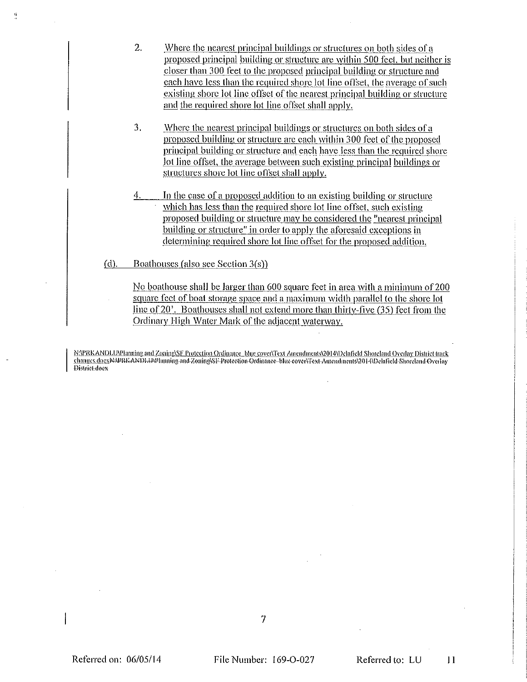- 2. Where the nearest principal buildings or structures on both sides of a proposed principal building or structure are within 500 feet, but neither is closer than 300 feet to the proposed principal building or structure and each have less than the required shore lot line offset, the average of such existing shore lot line offset of the nearest principal building or structure and the required shore lot line offset shall apply.
- 3. Where the nearest principal buildings or structures on both sides of a proposed building or structure are each within 300 feet of the proposed principal building or structure and each have less than the required shore lot line offset, the average between such existing principal buildings or structures shore lot line offset shall apply.
- In the case of a proposed addition to an existing building or structure which has less than the required shore lot line offset, such existing proposed building or structure may be considered the "nearest principal building or structure" in order to apply the aforesaid exceptions in determining required shore lot line offset for the proposed addition.
- $(d)$ . Boathouses (also see Section 3(s))

ij.

No boathouse shall be larger than 600 square feet in area with a minimum of 200 square feet of boat storage space and a maximum width parallel to the shore lot line of 20<sup>3</sup>. Boathouses shall not extend more than thirty-five (35) feet from the Ordinary High Water Mark of the adjacent waterway.

N:\PRKANDLU\Pianning and Zoning\SF Protection Ordinance\_blue cover\Text Amendments\2014\12clafield Shoreland Overlay District track changes.docxNAPRKANDLUAPlanning-and-Zoning\SI Protection Ordinance blue cover\Text Amendments\2014\Delafield-Shorcland-Overlay District does

7